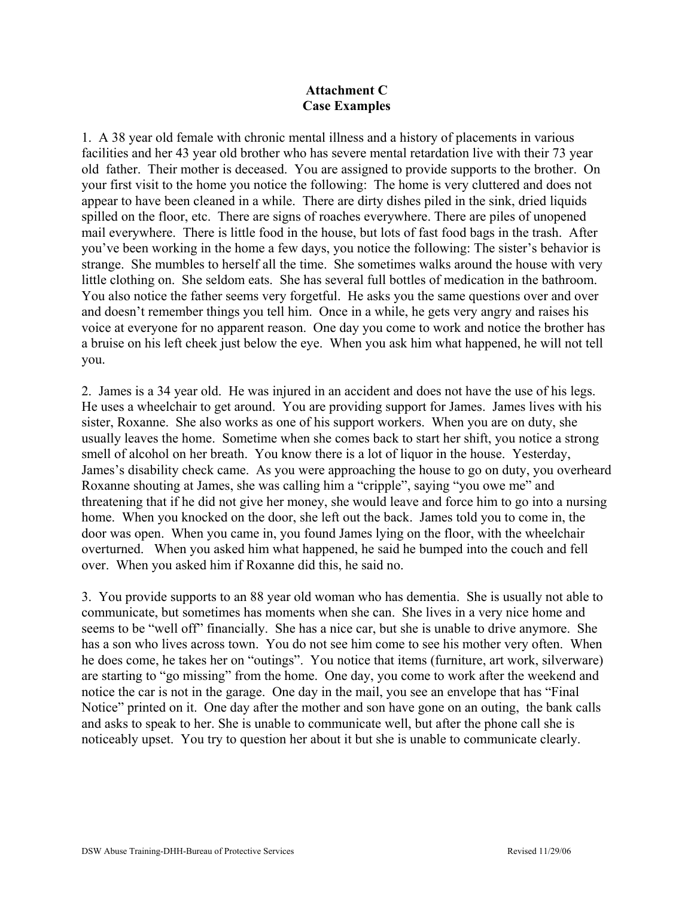## **Attachment C Case Examples**

1. A 38 year old female with chronic mental illness and a history of placements in various facilities and her 43 year old brother who has severe mental retardation live with their 73 year old father. Their mother is deceased. You are assigned to provide supports to the brother. On your first visit to the home you notice the following: The home is very cluttered and does not appear to have been cleaned in a while. There are dirty dishes piled in the sink, dried liquids spilled on the floor, etc. There are signs of roaches everywhere. There are piles of unopened mail everywhere. There is little food in the house, but lots of fast food bags in the trash. After you've been working in the home a few days, you notice the following: The sister's behavior is strange. She mumbles to herself all the time. She sometimes walks around the house with very little clothing on. She seldom eats. She has several full bottles of medication in the bathroom. You also notice the father seems very forgetful. He asks you the same questions over and over and doesn't remember things you tell him. Once in a while, he gets very angry and raises his voice at everyone for no apparent reason. One day you come to work and notice the brother has a bruise on his left cheek just below the eye. When you ask him what happened, he will not tell you.

2. James is a 34 year old. He was injured in an accident and does not have the use of his legs. He uses a wheelchair to get around. You are providing support for James. James lives with his sister, Roxanne. She also works as one of his support workers. When you are on duty, she usually leaves the home. Sometime when she comes back to start her shift, you notice a strong smell of alcohol on her breath. You know there is a lot of liquor in the house. Yesterday, James's disability check came. As you were approaching the house to go on duty, you overheard Roxanne shouting at James, she was calling him a "cripple", saying "you owe me" and threatening that if he did not give her money, she would leave and force him to go into a nursing home. When you knocked on the door, she left out the back. James told you to come in, the door was open. When you came in, you found James lying on the floor, with the wheelchair overturned. When you asked him what happened, he said he bumped into the couch and fell over. When you asked him if Roxanne did this, he said no.

3. You provide supports to an 88 year old woman who has dementia. She is usually not able to communicate, but sometimes has moments when she can. She lives in a very nice home and seems to be "well off" financially. She has a nice car, but she is unable to drive anymore. She has a son who lives across town. You do not see him come to see his mother very often. When he does come, he takes her on "outings". You notice that items (furniture, art work, silverware) are starting to "go missing" from the home. One day, you come to work after the weekend and notice the car is not in the garage. One day in the mail, you see an envelope that has "Final Notice" printed on it. One day after the mother and son have gone on an outing, the bank calls and asks to speak to her. She is unable to communicate well, but after the phone call she is noticeably upset. You try to question her about it but she is unable to communicate clearly.